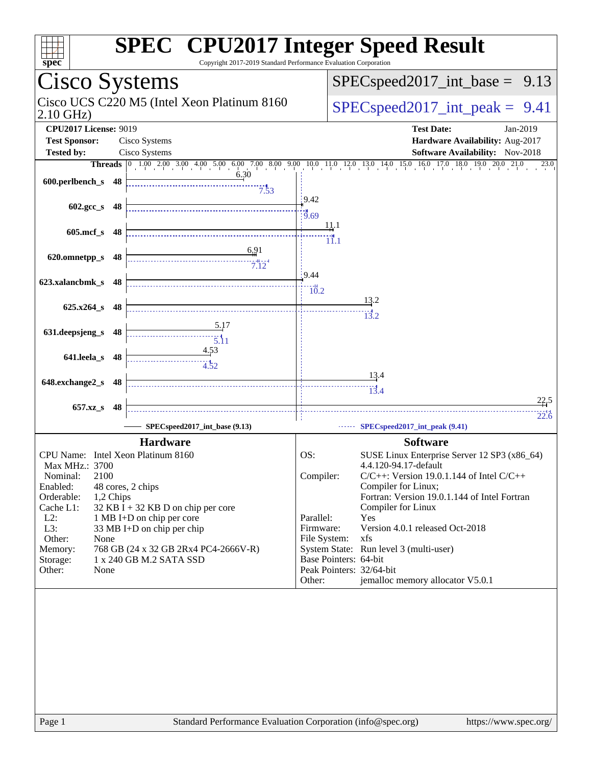| $spec^*$                                             | <b>SPEC<sup>®</sup> CPU2017 Integer Speed Result</b><br>Copyright 2017-2019 Standard Performance Evaluation Corporation |                           |                                                                                                                                   |
|------------------------------------------------------|-------------------------------------------------------------------------------------------------------------------------|---------------------------|-----------------------------------------------------------------------------------------------------------------------------------|
| Cisco Systems                                        |                                                                                                                         |                           | $SPEC speed2017\_int\_base = 9.13$                                                                                                |
| $2.10$ GHz)                                          | Cisco UCS C220 M5 (Intel Xeon Platinum 8160                                                                             |                           | $SPEC speed2017\_int\_peak = 9.41$                                                                                                |
| <b>CPU2017 License: 9019</b><br><b>Test Sponsor:</b> | Cisco Systems                                                                                                           |                           | <b>Test Date:</b><br>Jan-2019<br>Hardware Availability: Aug-2017                                                                  |
| <b>Tested by:</b>                                    | Cisco Systems                                                                                                           |                           | Software Availability: Nov-2018                                                                                                   |
|                                                      |                                                                                                                         |                           | <b>Threads</b> 0 1.00 2.00 3.00 4.00 5.00 6.00 7.00 8.00 9.00 10.0 11.0 12.0 13.0 14.0 15.0 16.0 17.0 18.0 19.0 20.0 21.0<br>23.0 |
| 600.perlbench_s 48                                   | 6.30<br>7.53                                                                                                            |                           |                                                                                                                                   |
| $602.\text{gcc s}$ 48                                |                                                                                                                         | 9.42<br>$\frac{14}{9.69}$ |                                                                                                                                   |
| 605.mcf s 48                                         |                                                                                                                         | 11.1<br>11.1              |                                                                                                                                   |
| 620.omnetpp_s 48                                     | 6,91<br>$7^{11}_{.12}$                                                                                                  | $\frac{1}{2}9.44$         |                                                                                                                                   |
| 623.xalancbmk_s 48                                   |                                                                                                                         | 10.2                      | 13.2                                                                                                                              |
| 625.x264_s 48                                        | 5.17                                                                                                                    |                           | 13.2                                                                                                                              |
| 631.deepsjeng_s<br>48                                | <u>4.53</u>                                                                                                             |                           |                                                                                                                                   |
| 641.leela_s 48                                       | 4.52                                                                                                                    |                           | <u>13.4</u>                                                                                                                       |
| 648.exchange2_s<br>48                                |                                                                                                                         |                           | $\frac{1}{13.4}$<br>22.5                                                                                                          |
| 657.xz_s<br>48                                       | SPECspeed2017_int_base (9.13)                                                                                           |                           | 22.6<br>SPECspeed2017_int_peak (9.41)                                                                                             |
|                                                      | <b>Hardware</b>                                                                                                         |                           | <b>Software</b>                                                                                                                   |
| CPU Name: Intel Xeon Platinum 8160                   |                                                                                                                         | OS:                       | SUSE Linux Enterprise Server 12 SP3 (x86_64)                                                                                      |
| Max MHz.: 3700                                       |                                                                                                                         |                           | 4.4.120-94.17-default                                                                                                             |
| Nominal:<br>2100                                     |                                                                                                                         | Compiler:                 | $C/C++$ : Version 19.0.1.144 of Intel $C/C++$                                                                                     |
| Enabled:<br>Orderable:                               | 48 cores, 2 chips                                                                                                       |                           | Compiler for Linux;<br>Fortran: Version 19.0.1.144 of Intel Fortran                                                               |
| 1,2 Chips<br>Cache L1:                               | $32$ KB I + 32 KB D on chip per core                                                                                    |                           | Compiler for Linux                                                                                                                |
| $L2$ :                                               | 1 MB I+D on chip per core                                                                                               | Parallel:                 | Yes                                                                                                                               |
| L3:                                                  | 33 MB I+D on chip per chip                                                                                              | Firmware:                 | Version 4.0.1 released Oct-2018                                                                                                   |
| Other:<br>None                                       |                                                                                                                         | File System:              | xfs                                                                                                                               |
| Memory:<br>Storage:                                  | 768 GB (24 x 32 GB 2Rx4 PC4-2666V-R)<br>1 x 240 GB M.2 SATA SSD                                                         | Base Pointers: 64-bit     | System State: Run level 3 (multi-user)                                                                                            |
| Other:<br>None                                       |                                                                                                                         | Peak Pointers: 32/64-bit  |                                                                                                                                   |
|                                                      |                                                                                                                         | Other:                    | jemalloc memory allocator V5.0.1                                                                                                  |
|                                                      |                                                                                                                         |                           |                                                                                                                                   |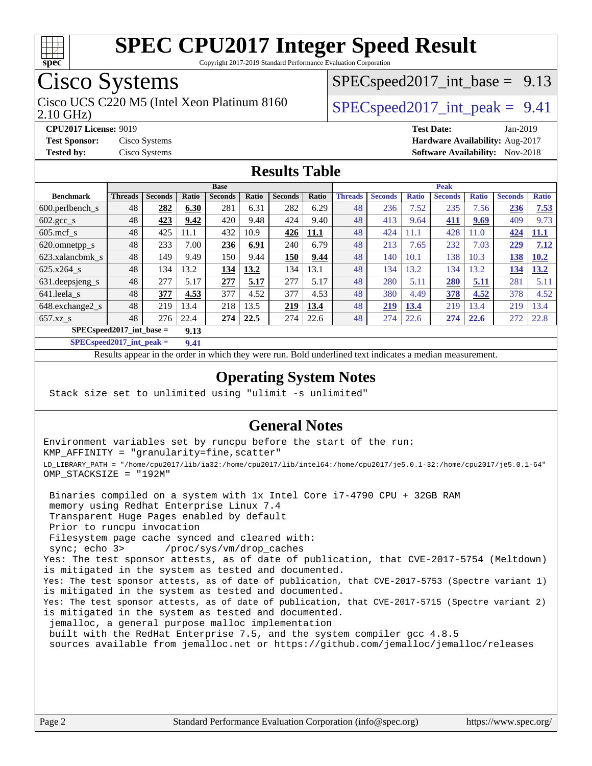

Copyright 2017-2019 Standard Performance Evaluation Corporation

## Cisco Systems

2.10 GHz) Cisco UCS C220 M5 (Intel Xeon Platinum 8160  $\big|$  SPECspeed2017 int peak = 9.41

 $SPECspeed2017\_int\_base = 9.13$ 

**[CPU2017 License:](http://www.spec.org/auto/cpu2017/Docs/result-fields.html#CPU2017License)** 9019 **[Test Date:](http://www.spec.org/auto/cpu2017/Docs/result-fields.html#TestDate)** Jan-2019 **[Test Sponsor:](http://www.spec.org/auto/cpu2017/Docs/result-fields.html#TestSponsor)** Cisco Systems **[Hardware Availability:](http://www.spec.org/auto/cpu2017/Docs/result-fields.html#HardwareAvailability)** Aug-2017 **[Tested by:](http://www.spec.org/auto/cpu2017/Docs/result-fields.html#Testedby)** Cisco Systems **[Software Availability:](http://www.spec.org/auto/cpu2017/Docs/result-fields.html#SoftwareAvailability)** Nov-2018

#### **[Results Table](http://www.spec.org/auto/cpu2017/Docs/result-fields.html#ResultsTable)**

|                                    | <b>Base</b>    |                |       |                |       | <b>Peak</b>    |       |                |                |              |                |              |                |              |
|------------------------------------|----------------|----------------|-------|----------------|-------|----------------|-------|----------------|----------------|--------------|----------------|--------------|----------------|--------------|
| <b>Benchmark</b>                   | <b>Threads</b> | <b>Seconds</b> | Ratio | <b>Seconds</b> | Ratio | <b>Seconds</b> | Ratio | <b>Threads</b> | <b>Seconds</b> | <b>Ratio</b> | <b>Seconds</b> | <b>Ratio</b> | <b>Seconds</b> | <b>Ratio</b> |
| 600.perlbench s                    | 48             | 282            | 6.30  | 281            | 6.31  | 282            | 6.29  | 48             | 236            | 7.52         | 235            | 7.56         | 236            | 7.53         |
| $602.\text{gcc}\_\text{s}$         | 48             | 423            | 9.42  | 420            | 9.48  | 424            | 9.40  | 48             | 413            | 9.64         | 411            | 9.69         | 409            | 9.73         |
| $605$ .mcf s                       | 48             | 425            | 11.1  | 432            | 10.9  | 426            | 11.1  | 48             | 424            | 11.1         | 428            | 11.0         | 424            | <u>11.1</u>  |
| 620.omnetpp_s                      | 48             | 233            | 7.00  | 236            | 6.91  | 240            | 6.79  | 48             | 213            | 7.65         | 232            | 7.03         | 229            | 7.12         |
| 623.xalancbmk s                    | 48             | 149            | 9.49  | 150            | 9.44  | 150            | 9.44  | 48             | 140            | 10.1         | 138            | 10.3         | 138            | 10.2         |
| 625.x264 s                         | 48             | 134            | 13.2  | 134            | 13.2  | 134            | 13.1  | 48             | 134            | 13.2         | 134            | 13.2         | 134            | 13.2         |
| 631.deepsjeng_s                    | 48             | 277            | 5.17  | 277            | 5.17  | 277            | 5.17  | 48             | 280            | 5.11         | <b>280</b>     | 5.11         | 281            | 5.11         |
| 641.leela_s                        | 48             | 377            | 4.53  | 377            | 4.52  | 377            | 4.53  | 48             | 380            | 4.49         | 378            | 4.52         | 378            | 4.52         |
| 648.exchange2_s                    | 48             | 219            | 13.4  | 218            | 13.5  | 219            | 13.4  | 48             | 219            | 13.4         | 219            | 13.4         | 219            | 13.4         |
| $657.xz$ s                         | 48             | 276            | 22.4  | 274            | 22.5  | 274            | 22.6  | 48             | 274            | 22.6         | 274            | 22.6         | 272            | 22.8         |
| $SPECspeed2017$ int base =<br>9.13 |                |                |       |                |       |                |       |                |                |              |                |              |                |              |

**[SPECspeed2017\\_int\\_peak =](http://www.spec.org/auto/cpu2017/Docs/result-fields.html#SPECspeed2017intpeak) 9.41**

Results appear in the [order in which they were run.](http://www.spec.org/auto/cpu2017/Docs/result-fields.html#RunOrder) Bold underlined text [indicates a median measurement](http://www.spec.org/auto/cpu2017/Docs/result-fields.html#Median).

#### **[Operating System Notes](http://www.spec.org/auto/cpu2017/Docs/result-fields.html#OperatingSystemNotes)**

Stack size set to unlimited using "ulimit -s unlimited"

#### **[General Notes](http://www.spec.org/auto/cpu2017/Docs/result-fields.html#GeneralNotes)**

Environment variables set by runcpu before the start of the run: KMP\_AFFINITY = "granularity=fine,scatter" LD\_LIBRARY\_PATH = "/home/cpu2017/lib/ia32:/home/cpu2017/lib/intel64:/home/cpu2017/je5.0.1-32:/home/cpu2017/je5.0.1-64" OMP\_STACKSIZE = "192M"

 Binaries compiled on a system with 1x Intel Core i7-4790 CPU + 32GB RAM memory using Redhat Enterprise Linux 7.4 Transparent Huge Pages enabled by default Prior to runcpu invocation Filesystem page cache synced and cleared with: sync; echo 3> /proc/sys/vm/drop\_caches Yes: The test sponsor attests, as of date of publication, that CVE-2017-5754 (Meltdown) is mitigated in the system as tested and documented. Yes: The test sponsor attests, as of date of publication, that CVE-2017-5753 (Spectre variant 1) is mitigated in the system as tested and documented. Yes: The test sponsor attests, as of date of publication, that CVE-2017-5715 (Spectre variant 2) is mitigated in the system as tested and documented. jemalloc, a general purpose malloc implementation built with the RedHat Enterprise 7.5, and the system compiler gcc 4.8.5 sources available from jemalloc.net or <https://github.com/jemalloc/jemalloc/releases>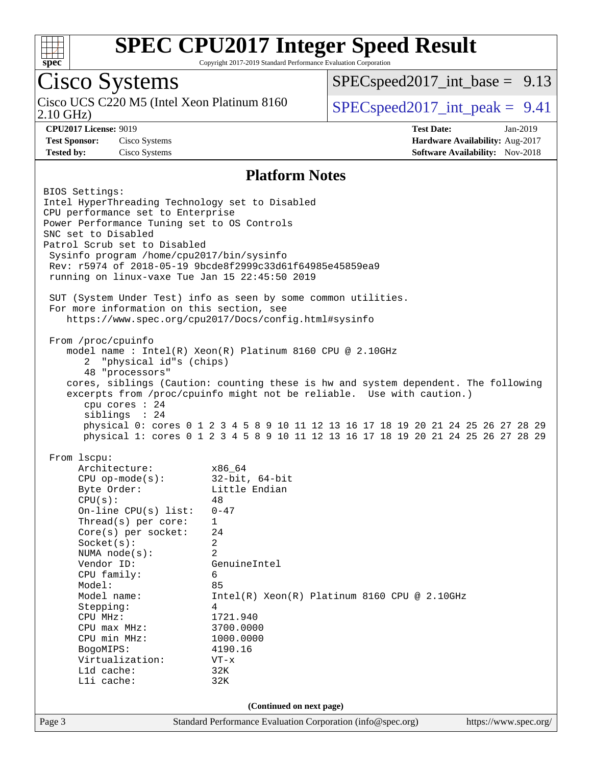

Copyright 2017-2019 Standard Performance Evaluation Corporation

## Cisco Systems

2.10 GHz) Cisco UCS C220 M5 (Intel Xeon Platinum 8160  $SPEC speed2017\_int\_peak = 9.41$ 

[SPECspeed2017\\_int\\_base =](http://www.spec.org/auto/cpu2017/Docs/result-fields.html#SPECspeed2017intbase) 9.13

**[CPU2017 License:](http://www.spec.org/auto/cpu2017/Docs/result-fields.html#CPU2017License)** 9019 **[Test Date:](http://www.spec.org/auto/cpu2017/Docs/result-fields.html#TestDate)** Jan-2019 **[Test Sponsor:](http://www.spec.org/auto/cpu2017/Docs/result-fields.html#TestSponsor)** Cisco Systems **[Hardware Availability:](http://www.spec.org/auto/cpu2017/Docs/result-fields.html#HardwareAvailability)** Aug-2017 **[Tested by:](http://www.spec.org/auto/cpu2017/Docs/result-fields.html#Testedby)** Cisco Systems **[Software Availability:](http://www.spec.org/auto/cpu2017/Docs/result-fields.html#SoftwareAvailability)** Nov-2018

#### **[Platform Notes](http://www.spec.org/auto/cpu2017/Docs/result-fields.html#PlatformNotes)**

| BIOS Settings:<br>Intel HyperThreading Technology set to Disabled<br>CPU performance set to Enterprise<br>Power Performance Tuning set to OS Controls<br>SNC set to Disabled<br>Patrol Scrub set to Disabled<br>Sysinfo program /home/cpu2017/bin/sysinfo<br>running on linux-vaxe Tue Jan 15 22:45:50 2019<br>For more information on this section, see                                 | Rev: r5974 of 2018-05-19 9bcde8f2999c33d61f64985e45859ea9<br>SUT (System Under Test) info as seen by some common utilities.                                                                                                                                                                                                                                                                        |                       |
|------------------------------------------------------------------------------------------------------------------------------------------------------------------------------------------------------------------------------------------------------------------------------------------------------------------------------------------------------------------------------------------|----------------------------------------------------------------------------------------------------------------------------------------------------------------------------------------------------------------------------------------------------------------------------------------------------------------------------------------------------------------------------------------------------|-----------------------|
|                                                                                                                                                                                                                                                                                                                                                                                          | https://www.spec.org/cpu2017/Docs/config.html#sysinfo                                                                                                                                                                                                                                                                                                                                              |                       |
| From /proc/cpuinfo<br>2 "physical id"s (chips)<br>48 "processors"<br>cpu cores $: 24$<br>siblings : 24                                                                                                                                                                                                                                                                                   | model name : Intel(R) Xeon(R) Platinum 8160 CPU @ 2.10GHz<br>cores, siblings (Caution: counting these is hw and system dependent. The following<br>excerpts from /proc/cpuinfo might not be reliable. Use with caution.)<br>physical 0: cores 0 1 2 3 4 5 8 9 10 11 12 13 16 17 18 19 20 21 24 25 26 27 28 29<br>physical 1: cores 0 1 2 3 4 5 8 9 10 11 12 13 16 17 18 19 20 21 24 25 26 27 28 29 |                       |
| From 1scpu:                                                                                                                                                                                                                                                                                                                                                                              |                                                                                                                                                                                                                                                                                                                                                                                                    |                       |
| Architecture:<br>$x86\_64$<br>CPU op-mode(s): $32-bit, 64-bit$<br>Byte Order:<br>CPU(s):<br>On-line CPU(s) list: $0-47$<br>Thread(s) per core:<br>$Core(s)$ per socket:<br>Socket(s):<br>NUMA $node(s):$<br>Vendor ID:<br>CPU family:<br>Model:<br>Model name:<br>Stepping:<br>CPU MHz:<br>$CPU$ max $MHz$ :<br>CPU min MHz:<br>BogoMIPS:<br>Virtualization:<br>L1d cache:<br>Lli cache: | Little Endian<br>48<br>$\mathbf{1}$<br>24<br>$\overline{2}$<br>2<br>GenuineIntel<br>6<br>85<br>$Intel(R) Xeon(R) Platinum 8160 CPU @ 2.10GHz$<br>4<br>1721.940<br>3700.0000<br>1000.0000<br>4190.16<br>$VT - x$<br>32K<br>32K                                                                                                                                                                      |                       |
|                                                                                                                                                                                                                                                                                                                                                                                          | (Continued on next page)                                                                                                                                                                                                                                                                                                                                                                           |                       |
| Page 3                                                                                                                                                                                                                                                                                                                                                                                   | Standard Performance Evaluation Corporation (info@spec.org)                                                                                                                                                                                                                                                                                                                                        | https://www.spec.org/ |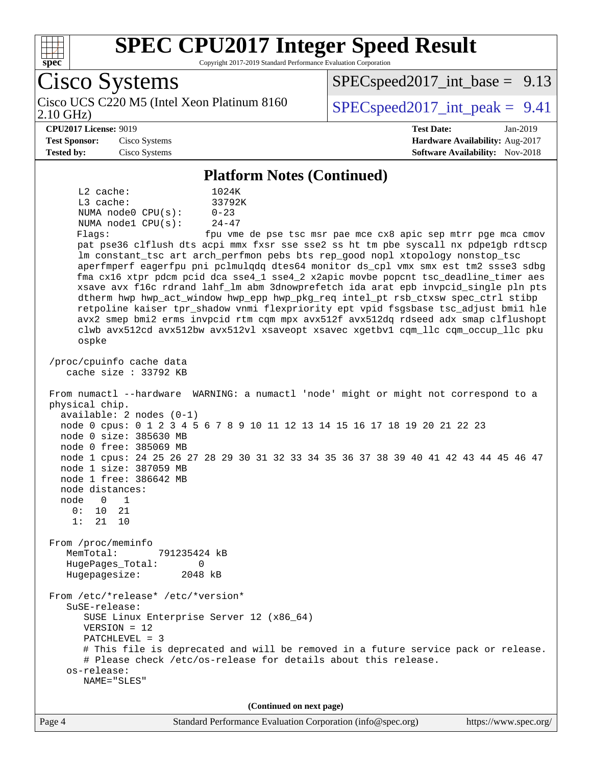

Copyright 2017-2019 Standard Performance Evaluation Corporation

Cisco Systems 2.10 GHz) Cisco UCS C220 M5 (Intel Xeon Platinum 8160  $\big|$  SPECspeed2017 int peak = 9.41  $SPECspeed2017\_int\_base = 9.13$ **[CPU2017 License:](http://www.spec.org/auto/cpu2017/Docs/result-fields.html#CPU2017License)** 9019 **[Test Date:](http://www.spec.org/auto/cpu2017/Docs/result-fields.html#TestDate)** Jan-2019 **[Test Sponsor:](http://www.spec.org/auto/cpu2017/Docs/result-fields.html#TestSponsor)** Cisco Systems **[Hardware Availability:](http://www.spec.org/auto/cpu2017/Docs/result-fields.html#HardwareAvailability)** Aug-2017 **[Tested by:](http://www.spec.org/auto/cpu2017/Docs/result-fields.html#Testedby)** Cisco Systems **[Software Availability:](http://www.spec.org/auto/cpu2017/Docs/result-fields.html#SoftwareAvailability)** Nov-2018 **[Platform Notes \(Continued\)](http://www.spec.org/auto/cpu2017/Docs/result-fields.html#PlatformNotes)** L2 cache: 1024K L3 cache: 33792K NUMA node0  $CPU(s):$  0-23<br>NUMA node1  $CPU(s):$  24-47 NUMA nodel  $CPU(s)$ : Flags: fpu vme de pse tsc msr pae mce cx8 apic sep mtrr pge mca cmov pat pse36 clflush dts acpi mmx fxsr sse sse2 ss ht tm pbe syscall nx pdpe1gb rdtscp lm constant\_tsc art arch\_perfmon pebs bts rep\_good nopl xtopology nonstop\_tsc aperfmperf eagerfpu pni pclmulqdq dtes64 monitor ds\_cpl vmx smx est tm2 ssse3 sdbg fma cx16 xtpr pdcm pcid dca sse4\_1 sse4\_2 x2apic movbe popcnt tsc\_deadline\_timer aes xsave avx f16c rdrand lahf\_lm abm 3dnowprefetch ida arat epb invpcid\_single pln pts dtherm hwp hwp\_act\_window hwp\_epp hwp\_pkg\_req intel\_pt rsb\_ctxsw spec\_ctrl stibp retpoline kaiser tpr\_shadow vnmi flexpriority ept vpid fsgsbase tsc\_adjust bmi1 hle avx2 smep bmi2 erms invpcid rtm cqm mpx avx512f avx512dq rdseed adx smap clflushopt clwb avx512cd avx512bw avx512vl xsaveopt xsavec xgetbv1 cqm\_llc cqm\_occup\_llc pku ospke /proc/cpuinfo cache data cache size : 33792 KB From numactl --hardware WARNING: a numactl 'node' might or might not correspond to a physical chip. available: 2 nodes (0-1) node 0 cpus: 0 1 2 3 4 5 6 7 8 9 10 11 12 13 14 15 16 17 18 19 20 21 22 23 node 0 size: 385630 MB node 0 free: 385069 MB node 1 cpus: 24 25 26 27 28 29 30 31 32 33 34 35 36 37 38 39 40 41 42 43 44 45 46 47 node 1 size: 387059 MB node 1 free: 386642 MB node distances: node 0 1<br>0: 10 21 0: 10 21 1: 21 10 From /proc/meminfo MemTotal: 791235424 kB HugePages\_Total: 0 Hugepagesize: 2048 kB From /etc/\*release\* /etc/\*version\* SuSE-release: SUSE Linux Enterprise Server 12 (x86\_64) VERSION = 12 PATCHLEVEL = 3 # This file is deprecated and will be removed in a future service pack or release. # Please check /etc/os-release for details about this release. os-release: NAME="SLES" **(Continued on next page)**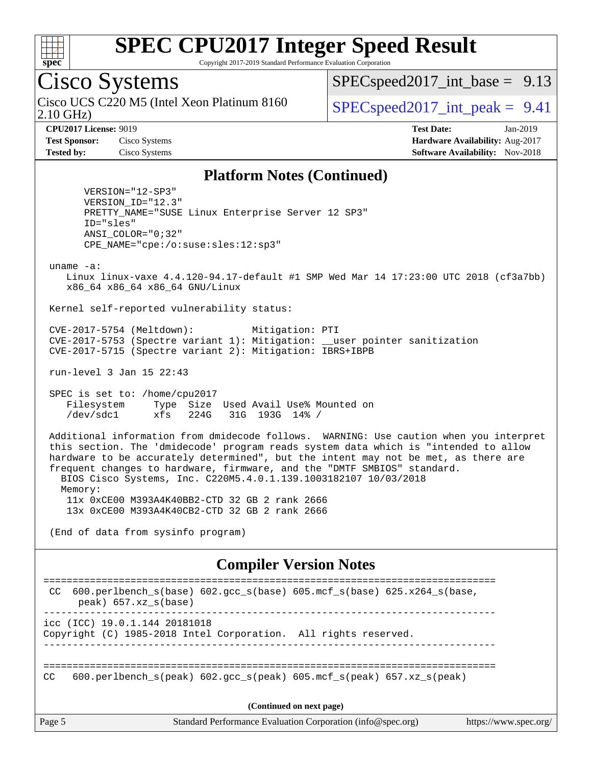

Copyright 2017-2019 Standard Performance Evaluation Corporation

## Cisco Systems

2.10 GHz) Cisco UCS C220 M5 (Intel Xeon Platinum 8160  $\big|$  SPECspeed2017 int peak = 9.41

 $SPECspeed2017\_int\_base = 9.13$ 

**[CPU2017 License:](http://www.spec.org/auto/cpu2017/Docs/result-fields.html#CPU2017License)** 9019 **[Test Date:](http://www.spec.org/auto/cpu2017/Docs/result-fields.html#TestDate)** Jan-2019 **[Test Sponsor:](http://www.spec.org/auto/cpu2017/Docs/result-fields.html#TestSponsor)** Cisco Systems **[Hardware Availability:](http://www.spec.org/auto/cpu2017/Docs/result-fields.html#HardwareAvailability)** Aug-2017 **[Tested by:](http://www.spec.org/auto/cpu2017/Docs/result-fields.html#Testedby)** Cisco Systems **[Software Availability:](http://www.spec.org/auto/cpu2017/Docs/result-fields.html#SoftwareAvailability)** Nov-2018

#### **[Platform Notes \(Continued\)](http://www.spec.org/auto/cpu2017/Docs/result-fields.html#PlatformNotes)**

 VERSION="12-SP3" VERSION\_ID="12.3" PRETTY\_NAME="SUSE Linux Enterprise Server 12 SP3" ID="sles" ANSI\_COLOR="0;32" CPE\_NAME="cpe:/o:suse:sles:12:sp3"

uname -a:

 Linux linux-vaxe 4.4.120-94.17-default #1 SMP Wed Mar 14 17:23:00 UTC 2018 (cf3a7bb) x86\_64 x86\_64 x86\_64 GNU/Linux

Kernel self-reported vulnerability status:

 CVE-2017-5754 (Meltdown): Mitigation: PTI CVE-2017-5753 (Spectre variant 1): Mitigation: \_\_user pointer sanitization CVE-2017-5715 (Spectre variant 2): Mitigation: IBRS+IBPB

run-level 3 Jan 15 22:43

 SPEC is set to: /home/cpu2017 Filesystem Type Size Used Avail Use% Mounted on /dev/sdc1 xfs 224G 31G 193G 14% /

 Additional information from dmidecode follows. WARNING: Use caution when you interpret this section. The 'dmidecode' program reads system data which is "intended to allow hardware to be accurately determined", but the intent may not be met, as there are frequent changes to hardware, firmware, and the "DMTF SMBIOS" standard. BIOS Cisco Systems, Inc. C220M5.4.0.1.139.1003182107 10/03/2018 Memory: 11x 0xCE00 M393A4K40BB2-CTD 32 GB 2 rank 2666 13x 0xCE00 M393A4K40CB2-CTD 32 GB 2 rank 2666

(End of data from sysinfo program)

#### **[Compiler Version Notes](http://www.spec.org/auto/cpu2017/Docs/result-fields.html#CompilerVersionNotes)**

Page 5 Standard Performance Evaluation Corporation [\(info@spec.org\)](mailto:info@spec.org) <https://www.spec.org/> ============================================================================== CC 600.perlbench\_s(base) 602.gcc\_s(base) 605.mcf\_s(base) 625.x264\_s(base, peak) 657.xz\_s(base) ----------------------------------------------------------------------------- icc (ICC) 19.0.1.144 20181018 Copyright (C) 1985-2018 Intel Corporation. All rights reserved. ------------------------------------------------------------------------------ ============================================================================== CC 600.perlbench s(peak) 602.gcc s(peak) 605.mcf s(peak) 657.xz s(peak) **(Continued on next page)**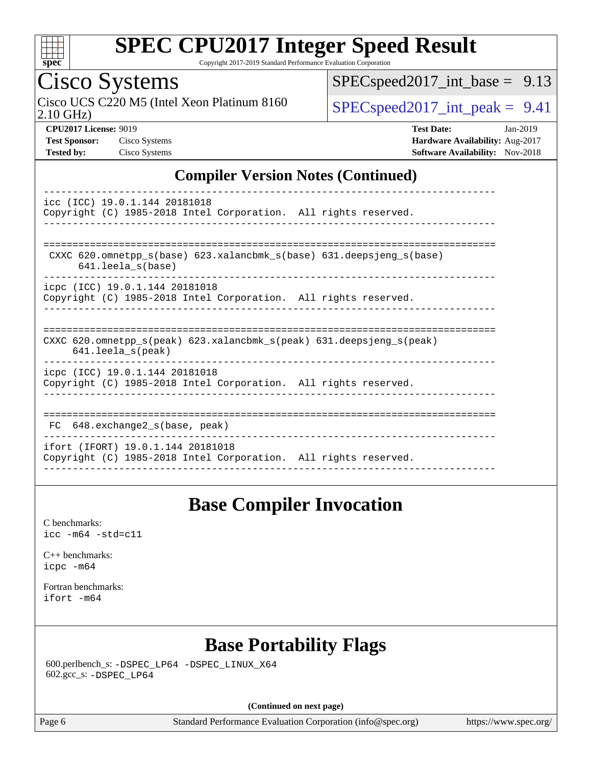

Copyright 2017-2019 Standard Performance Evaluation Corporation

## Cisco Systems

2.10 GHz) Cisco UCS C220 M5 (Intel Xeon Platinum 8160  $\big|$  [SPECspeed2017\\_int\\_peak =](http://www.spec.org/auto/cpu2017/Docs/result-fields.html#SPECspeed2017intpeak) 9.41

[SPECspeed2017\\_int\\_base =](http://www.spec.org/auto/cpu2017/Docs/result-fields.html#SPECspeed2017intbase) 9.13

**[CPU2017 License:](http://www.spec.org/auto/cpu2017/Docs/result-fields.html#CPU2017License)** 9019 **[Test Date:](http://www.spec.org/auto/cpu2017/Docs/result-fields.html#TestDate)** Jan-2019 **[Test Sponsor:](http://www.spec.org/auto/cpu2017/Docs/result-fields.html#TestSponsor)** Cisco Systems **[Hardware Availability:](http://www.spec.org/auto/cpu2017/Docs/result-fields.html#HardwareAvailability)** Aug-2017 **[Tested by:](http://www.spec.org/auto/cpu2017/Docs/result-fields.html#Testedby)** Cisco Systems **[Software Availability:](http://www.spec.org/auto/cpu2017/Docs/result-fields.html#SoftwareAvailability)** Nov-2018

#### **[Compiler Version Notes \(Continued\)](http://www.spec.org/auto/cpu2017/Docs/result-fields.html#CompilerVersionNotes)**

| icc (ICC) 19.0.1.144 20181018<br>Copyright (C) 1985-2018 Intel Corporation. All rights reserved.                        |
|-------------------------------------------------------------------------------------------------------------------------|
| CXXC $620$ . omnetpp $s(base)$ $623$ . xalancbmk $s(base)$ $631$ . deepsjeng $s(base)$<br>$641.$ leela_s(base)          |
| icpc (ICC) 19.0.1.144 20181018<br>Copyright (C) 1985-2018 Intel Corporation. All rights reserved.                       |
| CXXC 620.omnetpp $s(\text{peak})$ 623.xalancbmk $s(\text{peak})$ 631.deepsjeng $s(\text{peak})$<br>$641.$ leela_s(peak) |
| icpc (ICC) 19.0.1.144 20181018<br>Copyright (C) 1985-2018 Intel Corporation. All rights reserved.                       |
| FC 648. exchange2 s(base, peak)                                                                                         |
| ifort (IFORT) 19.0.1.144 20181018<br>Copyright (C) 1985-2018 Intel Corporation. All rights reserved.                    |

#### **[Base Compiler Invocation](http://www.spec.org/auto/cpu2017/Docs/result-fields.html#BaseCompilerInvocation)**

[C benchmarks](http://www.spec.org/auto/cpu2017/Docs/result-fields.html#Cbenchmarks): [icc -m64 -std=c11](http://www.spec.org/cpu2017/results/res2019q1/cpu2017-20190205-10997.flags.html#user_CCbase_intel_icc_64bit_c11_33ee0cdaae7deeeab2a9725423ba97205ce30f63b9926c2519791662299b76a0318f32ddfffdc46587804de3178b4f9328c46fa7c2b0cd779d7a61945c91cd35)

[C++ benchmarks:](http://www.spec.org/auto/cpu2017/Docs/result-fields.html#CXXbenchmarks) [icpc -m64](http://www.spec.org/cpu2017/results/res2019q1/cpu2017-20190205-10997.flags.html#user_CXXbase_intel_icpc_64bit_4ecb2543ae3f1412ef961e0650ca070fec7b7afdcd6ed48761b84423119d1bf6bdf5cad15b44d48e7256388bc77273b966e5eb805aefd121eb22e9299b2ec9d9)

[Fortran benchmarks](http://www.spec.org/auto/cpu2017/Docs/result-fields.html#Fortranbenchmarks): [ifort -m64](http://www.spec.org/cpu2017/results/res2019q1/cpu2017-20190205-10997.flags.html#user_FCbase_intel_ifort_64bit_24f2bb282fbaeffd6157abe4f878425411749daecae9a33200eee2bee2fe76f3b89351d69a8130dd5949958ce389cf37ff59a95e7a40d588e8d3a57e0c3fd751)

### **[Base Portability Flags](http://www.spec.org/auto/cpu2017/Docs/result-fields.html#BasePortabilityFlags)**

 600.perlbench\_s: [-DSPEC\\_LP64](http://www.spec.org/cpu2017/results/res2019q1/cpu2017-20190205-10997.flags.html#b600.perlbench_s_basePORTABILITY_DSPEC_LP64) [-DSPEC\\_LINUX\\_X64](http://www.spec.org/cpu2017/results/res2019q1/cpu2017-20190205-10997.flags.html#b600.perlbench_s_baseCPORTABILITY_DSPEC_LINUX_X64) 602.gcc\_s: [-DSPEC\\_LP64](http://www.spec.org/cpu2017/results/res2019q1/cpu2017-20190205-10997.flags.html#suite_basePORTABILITY602_gcc_s_DSPEC_LP64)

**(Continued on next page)**

Page 6 Standard Performance Evaluation Corporation [\(info@spec.org\)](mailto:info@spec.org) <https://www.spec.org/>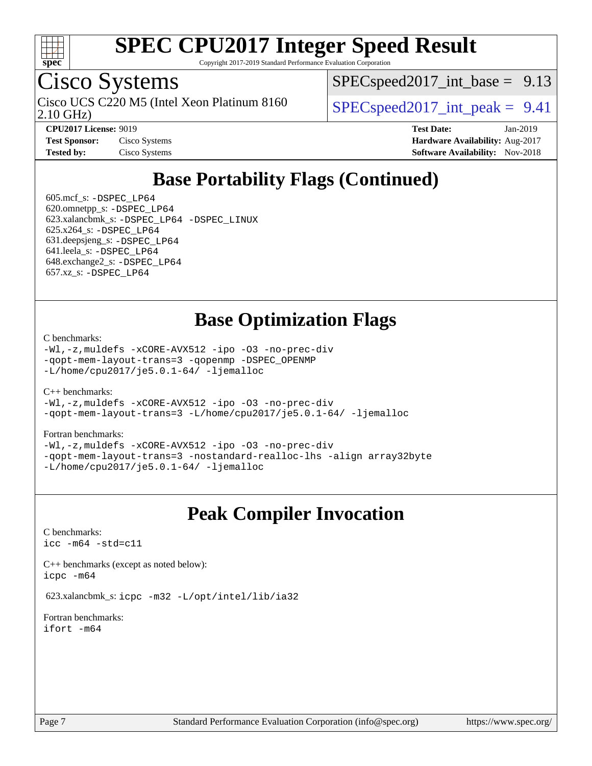

Copyright 2017-2019 Standard Performance Evaluation Corporation

### Cisco Systems

2.10 GHz) Cisco UCS C220 M5 (Intel Xeon Platinum 8160  $\big|$  SPECspeed2017 int peak = 9.41

 $SPECspeed2017\_int\_base = 9.13$ 

| <b>Test Sponsor:</b> | Cisco Systems |
|----------------------|---------------|
| <b>Tested by:</b>    | Cisco Systems |

**[CPU2017 License:](http://www.spec.org/auto/cpu2017/Docs/result-fields.html#CPU2017License)** 9019 **[Test Date:](http://www.spec.org/auto/cpu2017/Docs/result-fields.html#TestDate)** Jan-2019 **[Hardware Availability:](http://www.spec.org/auto/cpu2017/Docs/result-fields.html#HardwareAvailability)** Aug-2017 **[Software Availability:](http://www.spec.org/auto/cpu2017/Docs/result-fields.html#SoftwareAvailability)** Nov-2018

### **[Base Portability Flags \(Continued\)](http://www.spec.org/auto/cpu2017/Docs/result-fields.html#BasePortabilityFlags)**

 605.mcf\_s: [-DSPEC\\_LP64](http://www.spec.org/cpu2017/results/res2019q1/cpu2017-20190205-10997.flags.html#suite_basePORTABILITY605_mcf_s_DSPEC_LP64) 620.omnetpp\_s: [-DSPEC\\_LP64](http://www.spec.org/cpu2017/results/res2019q1/cpu2017-20190205-10997.flags.html#suite_basePORTABILITY620_omnetpp_s_DSPEC_LP64) 623.xalancbmk\_s: [-DSPEC\\_LP64](http://www.spec.org/cpu2017/results/res2019q1/cpu2017-20190205-10997.flags.html#suite_basePORTABILITY623_xalancbmk_s_DSPEC_LP64) [-DSPEC\\_LINUX](http://www.spec.org/cpu2017/results/res2019q1/cpu2017-20190205-10997.flags.html#b623.xalancbmk_s_baseCXXPORTABILITY_DSPEC_LINUX) 625.x264\_s: [-DSPEC\\_LP64](http://www.spec.org/cpu2017/results/res2019q1/cpu2017-20190205-10997.flags.html#suite_basePORTABILITY625_x264_s_DSPEC_LP64) 631.deepsjeng\_s: [-DSPEC\\_LP64](http://www.spec.org/cpu2017/results/res2019q1/cpu2017-20190205-10997.flags.html#suite_basePORTABILITY631_deepsjeng_s_DSPEC_LP64) 641.leela\_s: [-DSPEC\\_LP64](http://www.spec.org/cpu2017/results/res2019q1/cpu2017-20190205-10997.flags.html#suite_basePORTABILITY641_leela_s_DSPEC_LP64) 648.exchange2\_s: [-DSPEC\\_LP64](http://www.spec.org/cpu2017/results/res2019q1/cpu2017-20190205-10997.flags.html#suite_basePORTABILITY648_exchange2_s_DSPEC_LP64) 657.xz\_s: [-DSPEC\\_LP64](http://www.spec.org/cpu2017/results/res2019q1/cpu2017-20190205-10997.flags.html#suite_basePORTABILITY657_xz_s_DSPEC_LP64)

#### **[Base Optimization Flags](http://www.spec.org/auto/cpu2017/Docs/result-fields.html#BaseOptimizationFlags)**

[C benchmarks](http://www.spec.org/auto/cpu2017/Docs/result-fields.html#Cbenchmarks):

[-Wl,-z,muldefs](http://www.spec.org/cpu2017/results/res2019q1/cpu2017-20190205-10997.flags.html#user_CCbase_link_force_multiple1_b4cbdb97b34bdee9ceefcfe54f4c8ea74255f0b02a4b23e853cdb0e18eb4525ac79b5a88067c842dd0ee6996c24547a27a4b99331201badda8798ef8a743f577) [-xCORE-AVX512](http://www.spec.org/cpu2017/results/res2019q1/cpu2017-20190205-10997.flags.html#user_CCbase_f-xCORE-AVX512) [-ipo](http://www.spec.org/cpu2017/results/res2019q1/cpu2017-20190205-10997.flags.html#user_CCbase_f-ipo) [-O3](http://www.spec.org/cpu2017/results/res2019q1/cpu2017-20190205-10997.flags.html#user_CCbase_f-O3) [-no-prec-div](http://www.spec.org/cpu2017/results/res2019q1/cpu2017-20190205-10997.flags.html#user_CCbase_f-no-prec-div) [-qopt-mem-layout-trans=3](http://www.spec.org/cpu2017/results/res2019q1/cpu2017-20190205-10997.flags.html#user_CCbase_f-qopt-mem-layout-trans_de80db37974c74b1f0e20d883f0b675c88c3b01e9d123adea9b28688d64333345fb62bc4a798493513fdb68f60282f9a726aa07f478b2f7113531aecce732043) [-qopenmp](http://www.spec.org/cpu2017/results/res2019q1/cpu2017-20190205-10997.flags.html#user_CCbase_qopenmp_16be0c44f24f464004c6784a7acb94aca937f053568ce72f94b139a11c7c168634a55f6653758ddd83bcf7b8463e8028bb0b48b77bcddc6b78d5d95bb1df2967) [-DSPEC\\_OPENMP](http://www.spec.org/cpu2017/results/res2019q1/cpu2017-20190205-10997.flags.html#suite_CCbase_DSPEC_OPENMP) [-L/home/cpu2017/je5.0.1-64/](http://www.spec.org/cpu2017/results/res2019q1/cpu2017-20190205-10997.flags.html#user_CCbase_jemalloc_link_path64_8e927a5f1bdac0405e66c637541874330e08086b5e62a1d024bcf3497e3c64fd173c8afb7d1730d51f6da781ef4c439bdab468bb8364cf71435e0c609fac500c) [-ljemalloc](http://www.spec.org/cpu2017/results/res2019q1/cpu2017-20190205-10997.flags.html#user_CCbase_jemalloc_link_lib_d1249b907c500fa1c0672f44f562e3d0f79738ae9e3c4a9c376d49f265a04b9c99b167ecedbf6711b3085be911c67ff61f150a17b3472be731631ba4d0471706)

[C++ benchmarks:](http://www.spec.org/auto/cpu2017/Docs/result-fields.html#CXXbenchmarks)

[-Wl,-z,muldefs](http://www.spec.org/cpu2017/results/res2019q1/cpu2017-20190205-10997.flags.html#user_CXXbase_link_force_multiple1_b4cbdb97b34bdee9ceefcfe54f4c8ea74255f0b02a4b23e853cdb0e18eb4525ac79b5a88067c842dd0ee6996c24547a27a4b99331201badda8798ef8a743f577) [-xCORE-AVX512](http://www.spec.org/cpu2017/results/res2019q1/cpu2017-20190205-10997.flags.html#user_CXXbase_f-xCORE-AVX512) [-ipo](http://www.spec.org/cpu2017/results/res2019q1/cpu2017-20190205-10997.flags.html#user_CXXbase_f-ipo) [-O3](http://www.spec.org/cpu2017/results/res2019q1/cpu2017-20190205-10997.flags.html#user_CXXbase_f-O3) [-no-prec-div](http://www.spec.org/cpu2017/results/res2019q1/cpu2017-20190205-10997.flags.html#user_CXXbase_f-no-prec-div) [-qopt-mem-layout-trans=3](http://www.spec.org/cpu2017/results/res2019q1/cpu2017-20190205-10997.flags.html#user_CXXbase_f-qopt-mem-layout-trans_de80db37974c74b1f0e20d883f0b675c88c3b01e9d123adea9b28688d64333345fb62bc4a798493513fdb68f60282f9a726aa07f478b2f7113531aecce732043) [-L/home/cpu2017/je5.0.1-64/](http://www.spec.org/cpu2017/results/res2019q1/cpu2017-20190205-10997.flags.html#user_CXXbase_jemalloc_link_path64_8e927a5f1bdac0405e66c637541874330e08086b5e62a1d024bcf3497e3c64fd173c8afb7d1730d51f6da781ef4c439bdab468bb8364cf71435e0c609fac500c) [-ljemalloc](http://www.spec.org/cpu2017/results/res2019q1/cpu2017-20190205-10997.flags.html#user_CXXbase_jemalloc_link_lib_d1249b907c500fa1c0672f44f562e3d0f79738ae9e3c4a9c376d49f265a04b9c99b167ecedbf6711b3085be911c67ff61f150a17b3472be731631ba4d0471706)

#### [Fortran benchmarks](http://www.spec.org/auto/cpu2017/Docs/result-fields.html#Fortranbenchmarks):

[-Wl,-z,muldefs](http://www.spec.org/cpu2017/results/res2019q1/cpu2017-20190205-10997.flags.html#user_FCbase_link_force_multiple1_b4cbdb97b34bdee9ceefcfe54f4c8ea74255f0b02a4b23e853cdb0e18eb4525ac79b5a88067c842dd0ee6996c24547a27a4b99331201badda8798ef8a743f577) [-xCORE-AVX512](http://www.spec.org/cpu2017/results/res2019q1/cpu2017-20190205-10997.flags.html#user_FCbase_f-xCORE-AVX512) [-ipo](http://www.spec.org/cpu2017/results/res2019q1/cpu2017-20190205-10997.flags.html#user_FCbase_f-ipo) [-O3](http://www.spec.org/cpu2017/results/res2019q1/cpu2017-20190205-10997.flags.html#user_FCbase_f-O3) [-no-prec-div](http://www.spec.org/cpu2017/results/res2019q1/cpu2017-20190205-10997.flags.html#user_FCbase_f-no-prec-div) [-qopt-mem-layout-trans=3](http://www.spec.org/cpu2017/results/res2019q1/cpu2017-20190205-10997.flags.html#user_FCbase_f-qopt-mem-layout-trans_de80db37974c74b1f0e20d883f0b675c88c3b01e9d123adea9b28688d64333345fb62bc4a798493513fdb68f60282f9a726aa07f478b2f7113531aecce732043) [-nostandard-realloc-lhs](http://www.spec.org/cpu2017/results/res2019q1/cpu2017-20190205-10997.flags.html#user_FCbase_f_2003_std_realloc_82b4557e90729c0f113870c07e44d33d6f5a304b4f63d4c15d2d0f1fab99f5daaed73bdb9275d9ae411527f28b936061aa8b9c8f2d63842963b95c9dd6426b8a) [-align array32byte](http://www.spec.org/cpu2017/results/res2019q1/cpu2017-20190205-10997.flags.html#user_FCbase_align_array32byte_b982fe038af199962ba9a80c053b8342c548c85b40b8e86eb3cc33dee0d7986a4af373ac2d51c3f7cf710a18d62fdce2948f201cd044323541f22fc0fffc51b6) [-L/home/cpu2017/je5.0.1-64/](http://www.spec.org/cpu2017/results/res2019q1/cpu2017-20190205-10997.flags.html#user_FCbase_jemalloc_link_path64_8e927a5f1bdac0405e66c637541874330e08086b5e62a1d024bcf3497e3c64fd173c8afb7d1730d51f6da781ef4c439bdab468bb8364cf71435e0c609fac500c) [-ljemalloc](http://www.spec.org/cpu2017/results/res2019q1/cpu2017-20190205-10997.flags.html#user_FCbase_jemalloc_link_lib_d1249b907c500fa1c0672f44f562e3d0f79738ae9e3c4a9c376d49f265a04b9c99b167ecedbf6711b3085be911c67ff61f150a17b3472be731631ba4d0471706)

#### **[Peak Compiler Invocation](http://www.spec.org/auto/cpu2017/Docs/result-fields.html#PeakCompilerInvocation)**

[C benchmarks](http://www.spec.org/auto/cpu2017/Docs/result-fields.html#Cbenchmarks): [icc -m64 -std=c11](http://www.spec.org/cpu2017/results/res2019q1/cpu2017-20190205-10997.flags.html#user_CCpeak_intel_icc_64bit_c11_33ee0cdaae7deeeab2a9725423ba97205ce30f63b9926c2519791662299b76a0318f32ddfffdc46587804de3178b4f9328c46fa7c2b0cd779d7a61945c91cd35)

[C++ benchmarks \(except as noted below\):](http://www.spec.org/auto/cpu2017/Docs/result-fields.html#CXXbenchmarksexceptasnotedbelow) [icpc -m64](http://www.spec.org/cpu2017/results/res2019q1/cpu2017-20190205-10997.flags.html#user_CXXpeak_intel_icpc_64bit_4ecb2543ae3f1412ef961e0650ca070fec7b7afdcd6ed48761b84423119d1bf6bdf5cad15b44d48e7256388bc77273b966e5eb805aefd121eb22e9299b2ec9d9)

623.xalancbmk\_s: [icpc -m32 -L/opt/intel/lib/ia32](http://www.spec.org/cpu2017/results/res2019q1/cpu2017-20190205-10997.flags.html#user_peakCXXLD623_xalancbmk_s_intel_icpc_44eae83c1f565e7e266431f067370024ba26559400a3332485578bf716e23841c734f948145e944e2f4b6f3ce32c2c966ea92b66ca79c6f94f301242c0f554cf)

[Fortran benchmarks](http://www.spec.org/auto/cpu2017/Docs/result-fields.html#Fortranbenchmarks): [ifort -m64](http://www.spec.org/cpu2017/results/res2019q1/cpu2017-20190205-10997.flags.html#user_FCpeak_intel_ifort_64bit_24f2bb282fbaeffd6157abe4f878425411749daecae9a33200eee2bee2fe76f3b89351d69a8130dd5949958ce389cf37ff59a95e7a40d588e8d3a57e0c3fd751)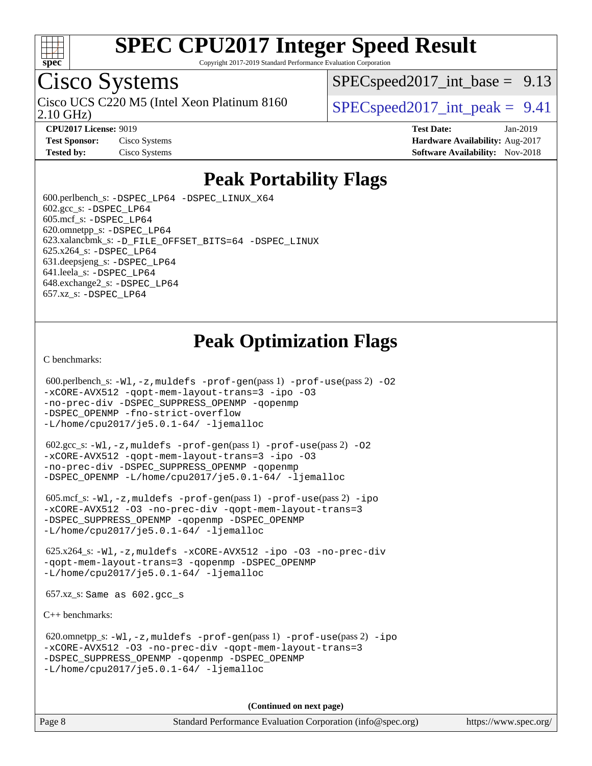

Copyright 2017-2019 Standard Performance Evaluation Corporation

### Cisco Systems

2.10 GHz) Cisco UCS C220 M5 (Intel Xeon Platinum 8160  $\big|$  SPECspeed2017 int peak = 9.41

 $SPECspeed2017\_int\_base = 9.13$ 

**[CPU2017 License:](http://www.spec.org/auto/cpu2017/Docs/result-fields.html#CPU2017License)** 9019 **[Test Date:](http://www.spec.org/auto/cpu2017/Docs/result-fields.html#TestDate)** Jan-2019 **[Test Sponsor:](http://www.spec.org/auto/cpu2017/Docs/result-fields.html#TestSponsor)** Cisco Systems **[Hardware Availability:](http://www.spec.org/auto/cpu2017/Docs/result-fields.html#HardwareAvailability)** Aug-2017 **[Tested by:](http://www.spec.org/auto/cpu2017/Docs/result-fields.html#Testedby)** Cisco Systems **[Software Availability:](http://www.spec.org/auto/cpu2017/Docs/result-fields.html#SoftwareAvailability)** Nov-2018

### **[Peak Portability Flags](http://www.spec.org/auto/cpu2017/Docs/result-fields.html#PeakPortabilityFlags)**

 600.perlbench\_s: [-DSPEC\\_LP64](http://www.spec.org/cpu2017/results/res2019q1/cpu2017-20190205-10997.flags.html#b600.perlbench_s_peakPORTABILITY_DSPEC_LP64) [-DSPEC\\_LINUX\\_X64](http://www.spec.org/cpu2017/results/res2019q1/cpu2017-20190205-10997.flags.html#b600.perlbench_s_peakCPORTABILITY_DSPEC_LINUX_X64)  $602.\text{gcc}\simeq$ : -DSPEC LP64 605.mcf\_s: [-DSPEC\\_LP64](http://www.spec.org/cpu2017/results/res2019q1/cpu2017-20190205-10997.flags.html#suite_peakPORTABILITY605_mcf_s_DSPEC_LP64) 620.omnetpp\_s: [-DSPEC\\_LP64](http://www.spec.org/cpu2017/results/res2019q1/cpu2017-20190205-10997.flags.html#suite_peakPORTABILITY620_omnetpp_s_DSPEC_LP64) 623.xalancbmk\_s: [-D\\_FILE\\_OFFSET\\_BITS=64](http://www.spec.org/cpu2017/results/res2019q1/cpu2017-20190205-10997.flags.html#user_peakPORTABILITY623_xalancbmk_s_file_offset_bits_64_5ae949a99b284ddf4e95728d47cb0843d81b2eb0e18bdfe74bbf0f61d0b064f4bda2f10ea5eb90e1dcab0e84dbc592acfc5018bc955c18609f94ddb8d550002c) [-DSPEC\\_LINUX](http://www.spec.org/cpu2017/results/res2019q1/cpu2017-20190205-10997.flags.html#b623.xalancbmk_s_peakCXXPORTABILITY_DSPEC_LINUX) 625.x264\_s: [-DSPEC\\_LP64](http://www.spec.org/cpu2017/results/res2019q1/cpu2017-20190205-10997.flags.html#suite_peakPORTABILITY625_x264_s_DSPEC_LP64) 631.deepsjeng\_s: [-DSPEC\\_LP64](http://www.spec.org/cpu2017/results/res2019q1/cpu2017-20190205-10997.flags.html#suite_peakPORTABILITY631_deepsjeng_s_DSPEC_LP64) 641.leela\_s: [-DSPEC\\_LP64](http://www.spec.org/cpu2017/results/res2019q1/cpu2017-20190205-10997.flags.html#suite_peakPORTABILITY641_leela_s_DSPEC_LP64) 648.exchange2\_s: [-DSPEC\\_LP64](http://www.spec.org/cpu2017/results/res2019q1/cpu2017-20190205-10997.flags.html#suite_peakPORTABILITY648_exchange2_s_DSPEC_LP64) 657.xz\_s: [-DSPEC\\_LP64](http://www.spec.org/cpu2017/results/res2019q1/cpu2017-20190205-10997.flags.html#suite_peakPORTABILITY657_xz_s_DSPEC_LP64)

### **[Peak Optimization Flags](http://www.spec.org/auto/cpu2017/Docs/result-fields.html#PeakOptimizationFlags)**

[C benchmarks](http://www.spec.org/auto/cpu2017/Docs/result-fields.html#Cbenchmarks):

```
600.perlbench_s: -W1-prof-gen-prof-use(pass 2) -02
-xCORE-AVX512 -qopt-mem-layout-trans=3 -ipo -O3
-no-prec-div -DSPEC_SUPPRESS_OPENMP -qopenmp
-DSPEC_OPENMP -fno-strict-overflow
-L/home/cpu2017/je5.0.1-64/ -ljemalloc
```
 602.gcc\_s: [-Wl,-z,muldefs](http://www.spec.org/cpu2017/results/res2019q1/cpu2017-20190205-10997.flags.html#user_peakEXTRA_LDFLAGS602_gcc_s_link_force_multiple1_b4cbdb97b34bdee9ceefcfe54f4c8ea74255f0b02a4b23e853cdb0e18eb4525ac79b5a88067c842dd0ee6996c24547a27a4b99331201badda8798ef8a743f577) [-prof-gen](http://www.spec.org/cpu2017/results/res2019q1/cpu2017-20190205-10997.flags.html#user_peakPASS1_CFLAGSPASS1_LDFLAGS602_gcc_s_prof_gen_5aa4926d6013ddb2a31985c654b3eb18169fc0c6952a63635c234f711e6e63dd76e94ad52365559451ec499a2cdb89e4dc58ba4c67ef54ca681ffbe1461d6b36)(pass 1) [-prof-use](http://www.spec.org/cpu2017/results/res2019q1/cpu2017-20190205-10997.flags.html#user_peakPASS2_CFLAGSPASS2_LDFLAGS602_gcc_s_prof_use_1a21ceae95f36a2b53c25747139a6c16ca95bd9def2a207b4f0849963b97e94f5260e30a0c64f4bb623698870e679ca08317ef8150905d41bd88c6f78df73f19)(pass 2) [-O2](http://www.spec.org/cpu2017/results/res2019q1/cpu2017-20190205-10997.flags.html#user_peakPASS1_COPTIMIZE602_gcc_s_f-O2) [-xCORE-AVX512](http://www.spec.org/cpu2017/results/res2019q1/cpu2017-20190205-10997.flags.html#user_peakPASS2_COPTIMIZE602_gcc_s_f-xCORE-AVX512) [-qopt-mem-layout-trans=3](http://www.spec.org/cpu2017/results/res2019q1/cpu2017-20190205-10997.flags.html#user_peakPASS1_COPTIMIZEPASS2_COPTIMIZE602_gcc_s_f-qopt-mem-layout-trans_de80db37974c74b1f0e20d883f0b675c88c3b01e9d123adea9b28688d64333345fb62bc4a798493513fdb68f60282f9a726aa07f478b2f7113531aecce732043) [-ipo](http://www.spec.org/cpu2017/results/res2019q1/cpu2017-20190205-10997.flags.html#user_peakPASS2_COPTIMIZE602_gcc_s_f-ipo) [-O3](http://www.spec.org/cpu2017/results/res2019q1/cpu2017-20190205-10997.flags.html#user_peakPASS2_COPTIMIZE602_gcc_s_f-O3) [-no-prec-div](http://www.spec.org/cpu2017/results/res2019q1/cpu2017-20190205-10997.flags.html#user_peakPASS2_COPTIMIZE602_gcc_s_f-no-prec-div) [-DSPEC\\_SUPPRESS\\_OPENMP](http://www.spec.org/cpu2017/results/res2019q1/cpu2017-20190205-10997.flags.html#suite_peakPASS1_COPTIMIZE602_gcc_s_DSPEC_SUPPRESS_OPENMP) [-qopenmp](http://www.spec.org/cpu2017/results/res2019q1/cpu2017-20190205-10997.flags.html#user_peakPASS2_COPTIMIZE602_gcc_s_qopenmp_16be0c44f24f464004c6784a7acb94aca937f053568ce72f94b139a11c7c168634a55f6653758ddd83bcf7b8463e8028bb0b48b77bcddc6b78d5d95bb1df2967) [-DSPEC\\_OPENMP](http://www.spec.org/cpu2017/results/res2019q1/cpu2017-20190205-10997.flags.html#suite_peakPASS2_COPTIMIZE602_gcc_s_DSPEC_OPENMP) [-L/home/cpu2017/je5.0.1-64/](http://www.spec.org/cpu2017/results/res2019q1/cpu2017-20190205-10997.flags.html#user_peakEXTRA_LIBS602_gcc_s_jemalloc_link_path64_8e927a5f1bdac0405e66c637541874330e08086b5e62a1d024bcf3497e3c64fd173c8afb7d1730d51f6da781ef4c439bdab468bb8364cf71435e0c609fac500c) [-ljemalloc](http://www.spec.org/cpu2017/results/res2019q1/cpu2017-20190205-10997.flags.html#user_peakEXTRA_LIBS602_gcc_s_jemalloc_link_lib_d1249b907c500fa1c0672f44f562e3d0f79738ae9e3c4a9c376d49f265a04b9c99b167ecedbf6711b3085be911c67ff61f150a17b3472be731631ba4d0471706)

 605.mcf\_s: [-Wl,-z,muldefs](http://www.spec.org/cpu2017/results/res2019q1/cpu2017-20190205-10997.flags.html#user_peakEXTRA_LDFLAGS605_mcf_s_link_force_multiple1_b4cbdb97b34bdee9ceefcfe54f4c8ea74255f0b02a4b23e853cdb0e18eb4525ac79b5a88067c842dd0ee6996c24547a27a4b99331201badda8798ef8a743f577) [-prof-gen](http://www.spec.org/cpu2017/results/res2019q1/cpu2017-20190205-10997.flags.html#user_peakPASS1_CFLAGSPASS1_LDFLAGS605_mcf_s_prof_gen_5aa4926d6013ddb2a31985c654b3eb18169fc0c6952a63635c234f711e6e63dd76e94ad52365559451ec499a2cdb89e4dc58ba4c67ef54ca681ffbe1461d6b36)(pass 1) [-prof-use](http://www.spec.org/cpu2017/results/res2019q1/cpu2017-20190205-10997.flags.html#user_peakPASS2_CFLAGSPASS2_LDFLAGS605_mcf_s_prof_use_1a21ceae95f36a2b53c25747139a6c16ca95bd9def2a207b4f0849963b97e94f5260e30a0c64f4bb623698870e679ca08317ef8150905d41bd88c6f78df73f19)(pass 2) [-ipo](http://www.spec.org/cpu2017/results/res2019q1/cpu2017-20190205-10997.flags.html#user_peakPASS1_COPTIMIZEPASS2_COPTIMIZE605_mcf_s_f-ipo) [-xCORE-AVX512](http://www.spec.org/cpu2017/results/res2019q1/cpu2017-20190205-10997.flags.html#user_peakPASS2_COPTIMIZE605_mcf_s_f-xCORE-AVX512) [-O3](http://www.spec.org/cpu2017/results/res2019q1/cpu2017-20190205-10997.flags.html#user_peakPASS1_COPTIMIZEPASS2_COPTIMIZE605_mcf_s_f-O3) [-no-prec-div](http://www.spec.org/cpu2017/results/res2019q1/cpu2017-20190205-10997.flags.html#user_peakPASS1_COPTIMIZEPASS2_COPTIMIZE605_mcf_s_f-no-prec-div) [-qopt-mem-layout-trans=3](http://www.spec.org/cpu2017/results/res2019q1/cpu2017-20190205-10997.flags.html#user_peakPASS1_COPTIMIZEPASS2_COPTIMIZE605_mcf_s_f-qopt-mem-layout-trans_de80db37974c74b1f0e20d883f0b675c88c3b01e9d123adea9b28688d64333345fb62bc4a798493513fdb68f60282f9a726aa07f478b2f7113531aecce732043) [-DSPEC\\_SUPPRESS\\_OPENMP](http://www.spec.org/cpu2017/results/res2019q1/cpu2017-20190205-10997.flags.html#suite_peakPASS1_COPTIMIZE605_mcf_s_DSPEC_SUPPRESS_OPENMP) [-qopenmp](http://www.spec.org/cpu2017/results/res2019q1/cpu2017-20190205-10997.flags.html#user_peakPASS2_COPTIMIZE605_mcf_s_qopenmp_16be0c44f24f464004c6784a7acb94aca937f053568ce72f94b139a11c7c168634a55f6653758ddd83bcf7b8463e8028bb0b48b77bcddc6b78d5d95bb1df2967) [-DSPEC\\_OPENMP](http://www.spec.org/cpu2017/results/res2019q1/cpu2017-20190205-10997.flags.html#suite_peakPASS2_COPTIMIZE605_mcf_s_DSPEC_OPENMP) [-L/home/cpu2017/je5.0.1-64/](http://www.spec.org/cpu2017/results/res2019q1/cpu2017-20190205-10997.flags.html#user_peakEXTRA_LIBS605_mcf_s_jemalloc_link_path64_8e927a5f1bdac0405e66c637541874330e08086b5e62a1d024bcf3497e3c64fd173c8afb7d1730d51f6da781ef4c439bdab468bb8364cf71435e0c609fac500c) [-ljemalloc](http://www.spec.org/cpu2017/results/res2019q1/cpu2017-20190205-10997.flags.html#user_peakEXTRA_LIBS605_mcf_s_jemalloc_link_lib_d1249b907c500fa1c0672f44f562e3d0f79738ae9e3c4a9c376d49f265a04b9c99b167ecedbf6711b3085be911c67ff61f150a17b3472be731631ba4d0471706)

 625.x264\_s: [-Wl,-z,muldefs](http://www.spec.org/cpu2017/results/res2019q1/cpu2017-20190205-10997.flags.html#user_peakEXTRA_LDFLAGS625_x264_s_link_force_multiple1_b4cbdb97b34bdee9ceefcfe54f4c8ea74255f0b02a4b23e853cdb0e18eb4525ac79b5a88067c842dd0ee6996c24547a27a4b99331201badda8798ef8a743f577) [-xCORE-AVX512](http://www.spec.org/cpu2017/results/res2019q1/cpu2017-20190205-10997.flags.html#user_peakCOPTIMIZE625_x264_s_f-xCORE-AVX512) [-ipo](http://www.spec.org/cpu2017/results/res2019q1/cpu2017-20190205-10997.flags.html#user_peakCOPTIMIZE625_x264_s_f-ipo) [-O3](http://www.spec.org/cpu2017/results/res2019q1/cpu2017-20190205-10997.flags.html#user_peakCOPTIMIZE625_x264_s_f-O3) [-no-prec-div](http://www.spec.org/cpu2017/results/res2019q1/cpu2017-20190205-10997.flags.html#user_peakCOPTIMIZE625_x264_s_f-no-prec-div) [-qopt-mem-layout-trans=3](http://www.spec.org/cpu2017/results/res2019q1/cpu2017-20190205-10997.flags.html#user_peakCOPTIMIZE625_x264_s_f-qopt-mem-layout-trans_de80db37974c74b1f0e20d883f0b675c88c3b01e9d123adea9b28688d64333345fb62bc4a798493513fdb68f60282f9a726aa07f478b2f7113531aecce732043) [-qopenmp](http://www.spec.org/cpu2017/results/res2019q1/cpu2017-20190205-10997.flags.html#user_peakCOPTIMIZE625_x264_s_qopenmp_16be0c44f24f464004c6784a7acb94aca937f053568ce72f94b139a11c7c168634a55f6653758ddd83bcf7b8463e8028bb0b48b77bcddc6b78d5d95bb1df2967) [-DSPEC\\_OPENMP](http://www.spec.org/cpu2017/results/res2019q1/cpu2017-20190205-10997.flags.html#suite_peakCOPTIMIZE625_x264_s_DSPEC_OPENMP) [-L/home/cpu2017/je5.0.1-64/](http://www.spec.org/cpu2017/results/res2019q1/cpu2017-20190205-10997.flags.html#user_peakEXTRA_LIBS625_x264_s_jemalloc_link_path64_8e927a5f1bdac0405e66c637541874330e08086b5e62a1d024bcf3497e3c64fd173c8afb7d1730d51f6da781ef4c439bdab468bb8364cf71435e0c609fac500c) [-ljemalloc](http://www.spec.org/cpu2017/results/res2019q1/cpu2017-20190205-10997.flags.html#user_peakEXTRA_LIBS625_x264_s_jemalloc_link_lib_d1249b907c500fa1c0672f44f562e3d0f79738ae9e3c4a9c376d49f265a04b9c99b167ecedbf6711b3085be911c67ff61f150a17b3472be731631ba4d0471706)

657.xz\_s: Same as 602.gcc\_s

[C++ benchmarks:](http://www.spec.org/auto/cpu2017/Docs/result-fields.html#CXXbenchmarks)

```
 620.omnetpp_s: -Wl,-z,muldefs -prof-gen(pass 1) -prof-use(pass 2) -ipo
-xCORE-AVX512 -O3 -no-prec-div -qopt-mem-layout-trans=3
-DSPEC_SUPPRESS_OPENMP -qopenmp -DSPEC_OPENMP
-L/home/cpu2017/je5.0.1-64/ -ljemalloc
```
**(Continued on next page)**